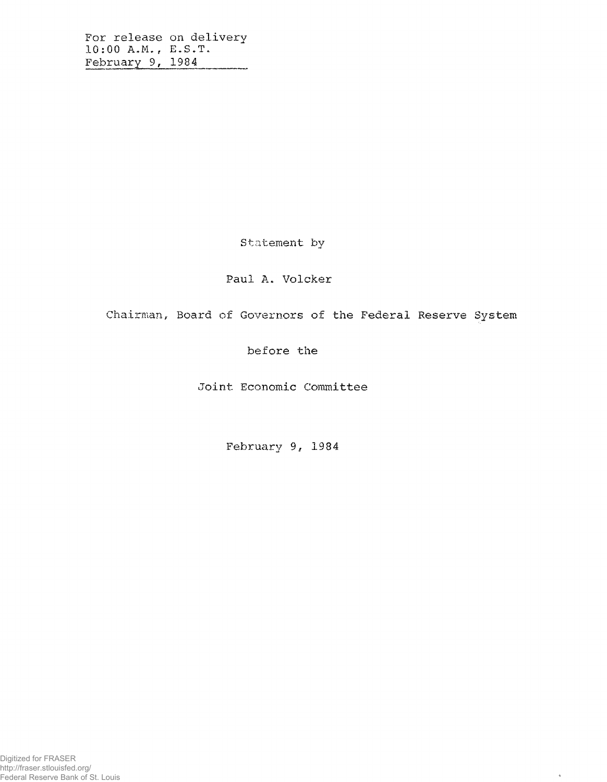For release on delivery 10:00 A.M., E.S.T.<br>February 9, 1984 --------

Statement by

Paul A. Volcker

Chairman, Board of Governors of the Federal Reserve System

 $\tilde{q}$ 

before the

Joint Economic Committee

February 9, 1984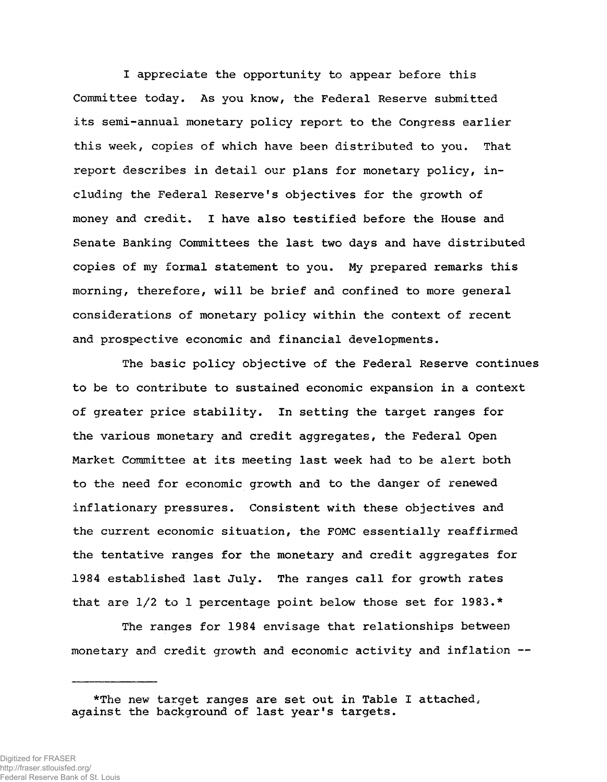I appreciate the opportunity to appear before this Committee today. As you know, the Federal Reserve submitted its semi-annual monetary policy report to the Congress earlier this week, copies of which have been distributed to you. That report describes in detail our plans for monetary policy, including the Federal Reserve's objectives for the growth of money and credit. I have also testified before the House and Senate Banking Committees the last two days and have distributed copies of my formal statement to you. My prepared remarks this morning, therefore, will be brief and confined to more general considerations of monetary policy within the context of recent and prospective economic and financial developments.

The basic policy objective of the Federal Reserve continues to be to contribute to sustained economic expansion in a context of greater price stability. In setting the target ranges for the various monetary and credit aggregates, the Federal Open Market Committee at its meeting last week had to be alert both to the need for economic growth and to the danger of renewed inflationary pressures. Consistent with these objectives and the current economic situation, the FOMC essentially reaffirmed the tentative ranges for the monetary and credit aggregates for 1984 established last July. The ranges call for growth rates that are 1/2 to 1 percentage point below those set for 1983.\*

The ranges for 1984 envisage that relationships between monetary and credit growth and economic activity and inflation --

<sup>\*</sup>The new target ranges are set out in Table I attached, against the background of last year's targets.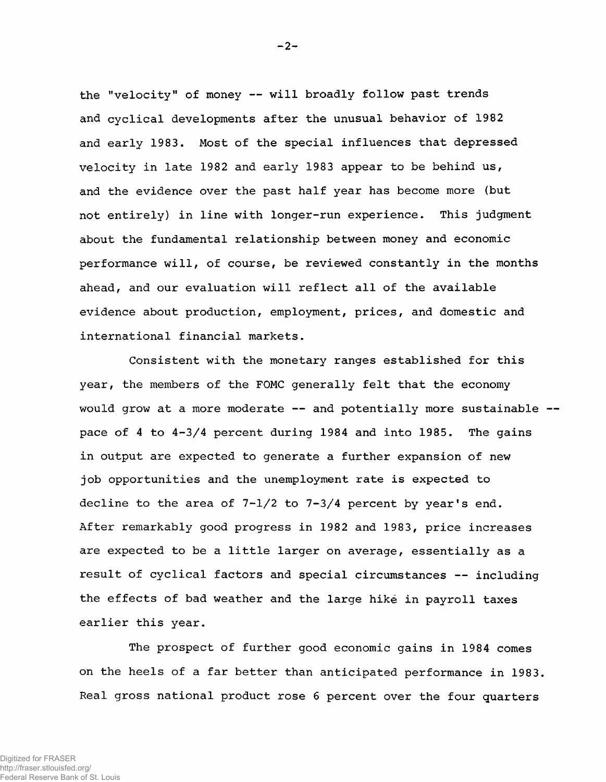the "velocity" of money -- will broadly follow past trends and cyclical developments after the unusual behavior of 1982 and early 1983. Most of the special influences that depressed velocity in late 1982 and early 1983 appear to be behind us, and the evidence over the past half year has become more (but not entirely) in line with longer-run experience. This judgment about the fundamental relationship between money and economic performance will, of course, be reviewed constantly in the months ahead, and our evaluation will reflect all of the available evidence about production, employment, prices, and domestic and international financial markets.

Consistent with the monetary ranges established for this year, the members of the FOMC generally felt that the economy would grow at a more moderate  $--$  and potentially more sustainable  $-$ pace of 4 to 4-3/4 percent during 1984 and into 1985. The gains in output are expected to generate a further expansion of new job opportunities and the unemployment rate is expected to decline to the area of  $7-1/2$  to  $7-3/4$  percent by year's end. After remarkably good progress in 1982 and 1983, price increases are expected to be a little larger on average, essentially as a result of cyclical factors and special circumstances — including the effects of bad weather and the large hike in payroll taxes earlier this year.

The prospect of further good economic gains in 1984 comes on the heels of a far better than anticipated performance in 1983, Real gross national product rose 6 percent over the four quarters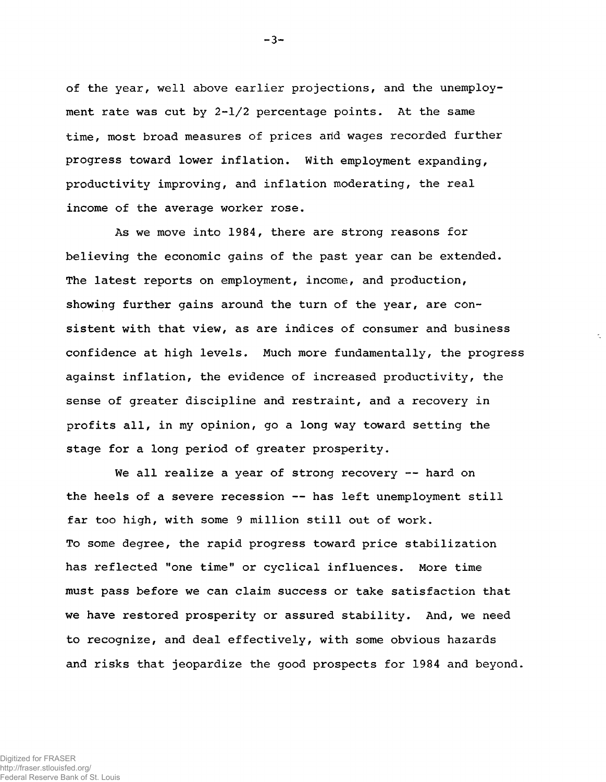of the year, well above earlier projections, and the unemployment rate was cut by  $2-l/2$  percentage points. At the same time, most broad measures of prices and wages recorded further progress toward lower inflation. With employment expanding, productivity improving, and inflation moderating, the real income of the average worker rose.

As we move into 1984, there are strong reasons for believing the economic gains of the past year can be extended. The latest reports on employment, income, and production, showing further gains around the turn of the year, are consistent with that view, as are indices of consumer and business confidence at high levels. Much more fundamentally, the progress against inflation, the evidence of increased productivity, the sense of greater discipline and restraint, and a recovery in profits all, in my opinion, go a long way toward setting the stage for a long period of greater prosperity.

We all realize a year of strong recovery -- hard on the heels of a severe recession -- has left unemployment still far too high, with some 9 million still out of work. To some degree, the rapid progress toward price stabilization has reflected "one time" or cyclical influences. More time must pass before we can claim success or take satisfaction that we have restored prosperity or assured stability. And, we need to recognize, and deal effectively, with some obvious hazards and risks that jeopardize the good prospects for 1984 and beyond.

 $-3-$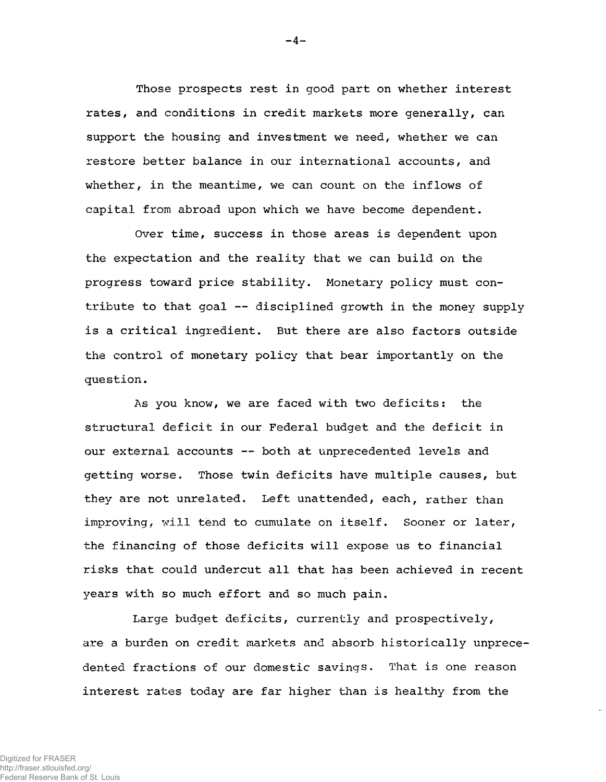Those prospects rest in good part on whether interest rates, and conditions in credit markets more generally, can support the housing and investment we need, whether we can restore better balance in our international accounts, and whether, in the meantime, we can count on the inflows of capital from abroad upon which we have become dependent.

Over time, success in those areas is dependent upon the expectation and the reality that we can build on the progress toward price stability. Monetary policy must contribute to that goal -- disciplined growth in the money supply is a critical ingredient. But there are also factors outside the control of monetary policy that bear importantly on the question.

As you know, we are faced with two deficits: the structural deficit in our Federal budget and the deficit in our external accounts —• both at unprecedented levels and getting worse. Those twin deficits have multiple causes, but they are not unrelated. Left unattended, each, rather than improving, will tend to cumulate on itself. Sooner or later, the financing of those deficits will expose us to financial risks that could undercut all that has been achieved in recent years with so much effort and so much pain.

Large budget deficits, currently and prospectively, are a burden on credit markets and absorb historically unprecedented fractions of our domestic savings. That is one reason interest rates today are far higher than is healthy from the

 $-4-$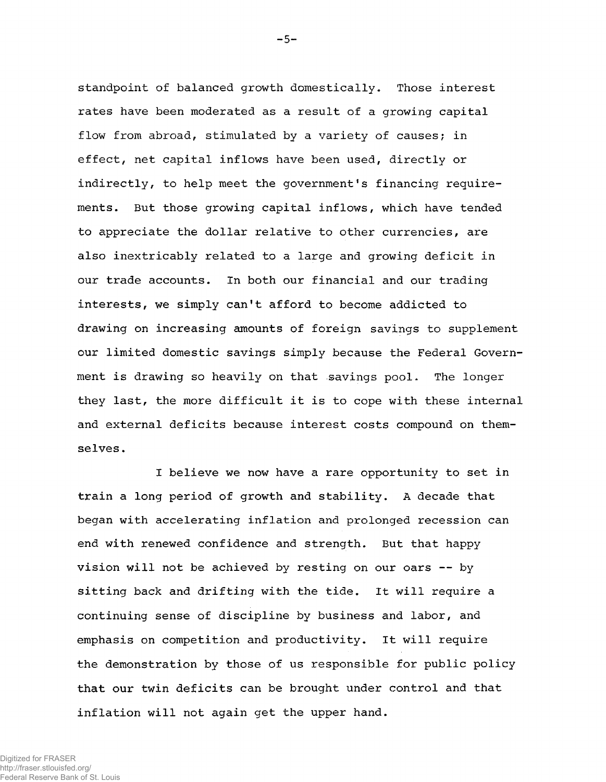standpoint of balanced growth domestically. Those interest rates have been moderated as a result of a growing capital flow from abroad, stimulated by a variety of causes; in effect, net capital inflows have been used, directly or indirectly, to help meet the government's financing requirements. But those growing capital inflows, which have tended to appreciate the dollar relative to other currencies, are also inextricably related to a large and growing deficit in our trade accounts. In both our financial and our trading interests, we simply can't afford to become addicted to drawing on increasing amounts of foreign savings to supplement our limited domestic savings simply because the Federal Government is drawing so heavily on that savings pool. The longer they last, the more difficult it is to cope with these internal and external deficits because interest costs compound on themselves.

I believe we now have a rare opportunity to set in train a long period of growth and stability. A decade that began with accelerating inflation and prolonged recession can end with renewed confidence and strength. But that happy vision will not be achieved by resting on our oars  $-$  by sitting back and drifting with the tide. It will require a continuing sense of discipline by business and labor, and emphasis on competition and productivity. It will require the demonstration by those of us responsible for public policy that our twin deficits can be brought under control and that inflation will not again get the upper hand.

 $-5-$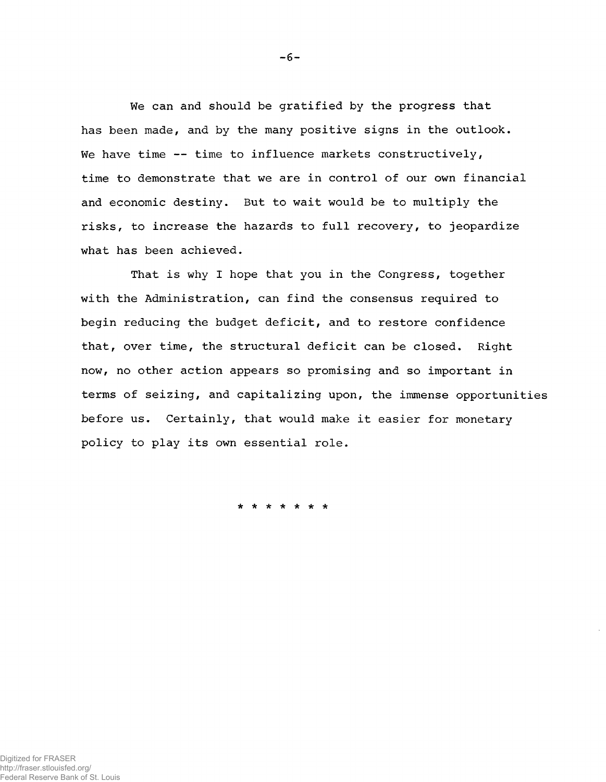We can and should be gratified by the progress that has been made, and by the many positive signs in the outlook. We have time  $--$  time to influence markets constructively, time to demonstrate that we are in control of our own financial and economic destiny. But to wait would be to multiply the risks, to increase the hazards to full recovery, to jeopardize what has been achieved.

That is why I hope that you in the Congress, together with the Administration, can find the consensus required to begin reducing the budget deficit, and to restore confidence that, over time, the structural deficit can be closed. Right now, no other action appears so promising and so important in terms of seizing, and capitalizing upon, the immense opportunities before us. Certainly, that would make it easier for monetary policy to play its own essential role.

\* \* \* \* \* \* \*